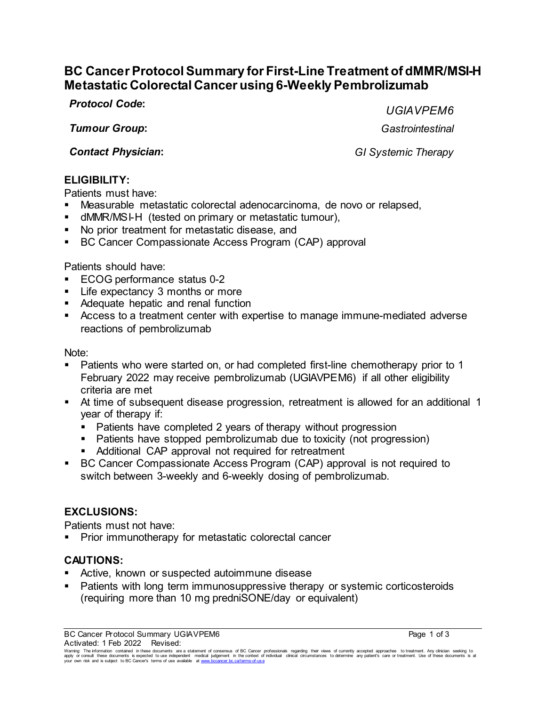# **BC Cancer Protocol Summary for First-Line Treatment of dMMR/MSI-H Metastatic Colorectal Cancer using 6-Weekly Pembrolizumab**

*Protocol Code***:** *UGIAVPEM6*

*Tumour Group***:** *Gastrointestinal*

*Contact Physician***:** *GI Systemic Therapy*

## **ELIGIBILITY:**

Patients must have:

- Measurable metastatic colorectal adenocarcinoma, de novo or relapsed,
- dMMR/MSI-H (tested on primary or metastatic tumour),
- No prior treatment for metastatic disease, and
- **BC Cancer Compassionate Access Program (CAP) approval**

Patients should have:

- ECOG performance status 0-2
- **EXPECTANCY 3 months or more**
- **Adequate hepatic and renal function**
- Access to a treatment center with expertise to manage immune-mediated adverse reactions of pembrolizumab

Note:

- Patients who were started on, or had completed first-line chemotherapy prior to 1 February 2022 may receive pembrolizumab (UGIAVPEM6) if all other eligibility criteria are met
- At time of subsequent disease progression, retreatment is allowed for an additional 1 year of therapy if:
	- **Patients have completed 2 years of therapy without progression**
	- Patients have stopped pembrolizumab due to toxicity (not progression)
	- Additional CAP approval not required for retreatment
- BC Cancer Compassionate Access Program (CAP) approval is not required to switch between 3-weekly and 6-weekly dosing of pembrolizumab.

# **EXCLUSIONS:**

Patients must not have:

**Prior immunotherapy for metastatic colorectal cancer** 

# **CAUTIONS:**

- Active, known or suspected autoimmune disease
- **Patients with long term immunosuppressive therapy or systemic corticosteroids** (requiring more than 10 mg predniSONE/day or equivalent)

Warning: The information contained in these documents are a statement of consensus of BC Cancer professionals regarding their views of currently accepted approaches to treatment. Any clinician seeking to<br>apply or consult t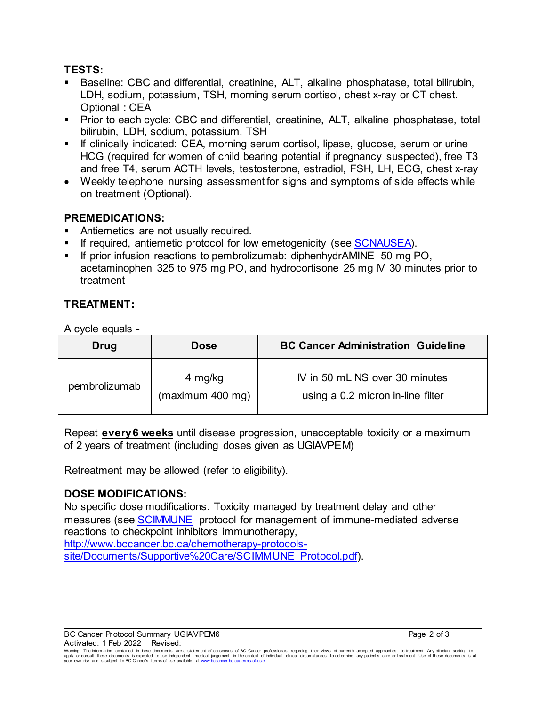## **TESTS:**

- Baseline: CBC and differential, creatinine, ALT, alkaline phosphatase, total bilirubin, LDH, sodium, potassium, TSH, morning serum cortisol, chest x-ray or CT chest. Optional : CEA
- **Prior to each cycle: CBC and differential, creatinine, ALT, alkaline phosphatase, total** bilirubin, LDH, sodium, potassium, TSH
- **If clinically indicated: CEA, morning serum cortisol, lipase, glucose, serum or urine** HCG (required for women of child bearing potential if pregnancy suspected), free T3 and free T4, serum ACTH levels, testosterone, estradiol, FSH, LH, ECG, chest x-ray
- Weekly telephone nursing assessment for signs and symptoms of side effects while on treatment (Optional).

## **PREMEDICATIONS:**

- Antiemetics are not usually required.
- If required, antiemetic protocol for low emetogenicity (see [SCNAUSEA\).](http://www.bccancer.bc.ca/chemotherapy-protocols-site/Documents/Supportive%20Care/SCNAUSEA_Protocol.pdf)
- If prior infusion reactions to pembrolizumab: diphenhydrAMINE 50 mg PO, acetaminophen 325 to 975 mg PO, and hydrocortisone 25 mg IV 30 minutes prior to treatment

## **TREATMENT:**

A cycle equals -

| Drug          | <b>Dose</b>                 | <b>BC Cancer Administration Guideline</b>                           |
|---------------|-----------------------------|---------------------------------------------------------------------|
| pembrolizumab | 4 mg/kg<br>(maximum 400 mg) | IV in 50 mL NS over 30 minutes<br>using a 0.2 micron in-line filter |

Repeat **every 6 weeks** until disease progression, unacceptable toxicity or a maximum of 2 years of treatment (including doses given as UGIAVPEM)

Retreatment may be allowed (refer to eligibility).

#### **DOSE MODIFICATIONS:**

No specific dose modifications. Toxicity managed by treatment delay and other measures (see [SCIMMUNE](http://www.bccancer.bc.ca/chemotherapy-protocols-site/Documents/Supportive%20Care/SCIMMUNE_Protocol.pdf) protocol for management of immune-mediated adverse reactions to checkpoint inhibitors immunotherapy,

[http://www.bccancer.bc.ca/chemotherapy-protocols](http://www.bccancer.bc.ca/chemotherapy-protocols-site/Documents/Supportive%20Care/SCIMMUNE_Protocol.pdf)[site/Documents/Supportive%20Care/SCIMMUNE\\_Protocol.pdf\).](http://www.bccancer.bc.ca/chemotherapy-protocols-site/Documents/Supportive%20Care/SCIMMUNE_Protocol.pdf)

BC Cancer Protocol Summary UGIAVPEM6 **Page 2 of 3** Page 2 of 3 Activated: 1 Feb 2022 Revised:

Warning: The information contained in these documents are a statement of consensus of BC Cancer professionals regarding their views of currently accepted approaches to treatment. Any clinician seeking to<br>apply or consult t